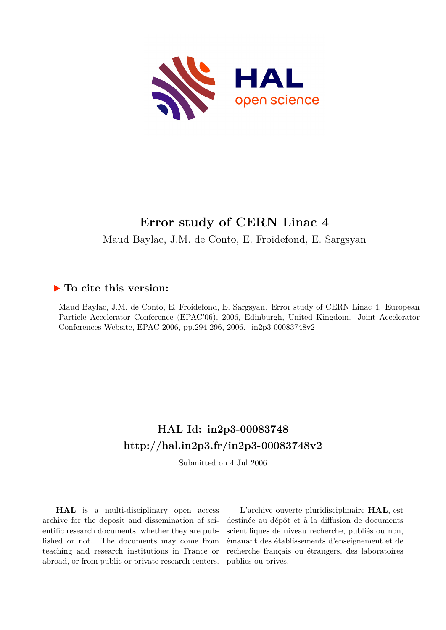

# **Error study of CERN Linac 4**

Maud Baylac, J.M. de Conto, E. Froidefond, E. Sargsyan

## **To cite this version:**

Maud Baylac, J.M. de Conto, E. Froidefond, E. Sargsyan. Error study of CERN Linac 4. European Particle Accelerator Conference (EPAC'06), 2006, Edinburgh, United Kingdom. Joint Accelerator Conferences Website, EPAC 2006, pp.294-296, 2006. in2p3-00083748v2

## **HAL Id: in2p3-00083748 <http://hal.in2p3.fr/in2p3-00083748v2>**

Submitted on 4 Jul 2006

**HAL** is a multi-disciplinary open access archive for the deposit and dissemination of scientific research documents, whether they are published or not. The documents may come from teaching and research institutions in France or abroad, or from public or private research centers.

L'archive ouverte pluridisciplinaire **HAL**, est destinée au dépôt et à la diffusion de documents scientifiques de niveau recherche, publiés ou non, émanant des établissements d'enseignement et de recherche français ou étrangers, des laboratoires publics ou privés.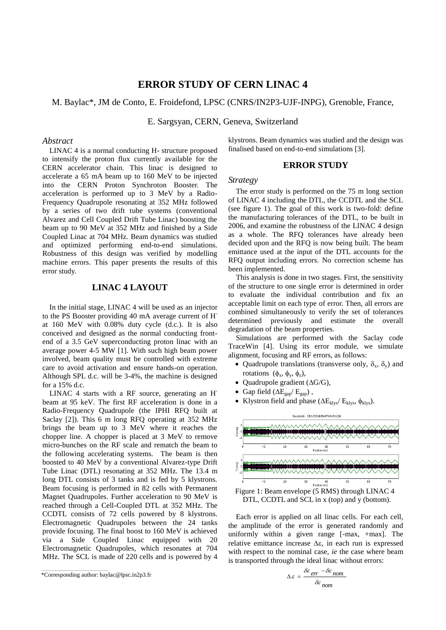## **ERROR STUDY OF CERN LINAC 4**

M. Baylac\*, JM de Conto, E. Froidefond, LPSC (CNRS/IN2P3-UJF-INPG), Grenoble, France,

E. Sargsyan, CERN, Geneva, Switzerland

## *Abstract*

LINAC 4 is a normal conducting H- structure proposed to intensify the proton flux currently available for the CERN accelerator chain. This linac is designed to accelerate a 65 mA beam up to 160 MeV to be injected into the CERN Proton Synchroton Booster. The acceleration is performed up to 3 MeV by a Radio-Frequency Quadrupole resonating at 352 MHz followed by a series of two drift tube systems (conventional Alvarez and Cell Coupled Drift Tube Linac) boosting the beam up to 90 MeV at 352 MHz and finished by a Side Coupled Linac at 704 MHz. Beam dynamics was studied and optimized performing end-to-end simulations. Robustness of this design was verified by modelling machine errors. This paper presents the results of this error study.

## **LINAC 4 LAYOUT**

In the initial stage, LINAC 4 will be used as an injector to the PS Booster providing 40 mA average current of Hat 160 MeV with 0.08% duty cycle (d.c.). It is also conceived and designed as the normal conducting frontend of a 3.5 GeV superconducting proton linac with an average power 4-5 MW [1]. With such high beam power involved, beam quality must be controlled with extreme care to avoid activation and ensure hands-on operation. Although SPL d.c. will be 3-4%, the machine is designed for a 15% d.c.

LINAC 4 starts with a RF source, generating an H beam at 95 keV. The first RF acceleration is done in a Radio-Frequency Quadrupole (the IPHI RFQ built at Saclay [2]). This 6 m long RFQ operating at 352 MHz brings the beam up to 3 MeV where it reaches the chopper line. A chopper is placed at 3 MeV to remove micro-bunches on the RF scale and rematch the beam to the following accelerating systems. The beam is then boosted to 40 MeV by a conventional Alvarez-type Drift Tube Linac (DTL) resonating at 352 MHz. The 13.4 m long DTL consists of 3 tanks and is fed by 5 klystrons. Beam focusing is performed in 82 cells with Permanent Magnet Quadrupoles. Further acceleration to 90 MeV is reached through a Cell-Coupled DTL at 352 MHz. The CCDTL consists of 72 cells powered by 8 klystrons. Electromagnetic Quadrupoles between the 24 tanks provide focusing. The final boost to 160 MeV is achieved via a Side Coupled Linac equipped with 20 Electromagnetic Quadrupoles, which resonates at 704 MHz. The SCL is made of 220 cells and is powered by 4

\*Corresponding author: baylac@lpsc.in2p3.fr

\_\_\_\_\_\_\_\_\_\_\_\_\_\_\_\_\_\_\_\_\_\_\_\_\_\_\_\_\_\_\_\_\_\_\_\_\_\_\_\_\_\_\_\_

klystrons. Beam dynamics was studied and the design was finalised based on end-to-end simulations [3].

#### **ERROR STUDY**

#### *Strategy*

The error study is performed on the 75 m long section of LINAC 4 including the DTL, the CCDTL and the SCL (see figure 1). The goal of this work is two-fold: define the manufacturing tolerances of the DTL, to be built in 2006, and examine the robustness of the LINAC 4 design as a whole. The RFQ tolerances have already been decided upon and the RFQ is now being built. The beam emittance used at the input of the DTL accounts for the RFQ output including errors. No correction scheme has been implemented.

This analysis is done in two stages. First, the sensitivity of the structure to one single error is determined in order to evaluate the individual contribution and fix an acceptable limit on each type of error. Then, all errors are combined simultaneously to verify the set of tolerances determined previously and estimate the overall degradation of the beam properties.

Simulations are performed with the Saclay code TraceWin [4]. Using its error module, we simulate alignment, focusing and RF errors, as follows:

- Quadrupole translations (transverse only,  $\delta_x$ ,  $\delta_y$ ) and rotations  $(\phi_x, \phi_y, \phi_z)$ ,
- Quadrupole gradient  $(\Delta G/G)$ ,
- $\bullet~$  Gap field  $(\Delta E_{\text{gap}}/~E_{\text{gap}})$  ,
- Klystron field and phase ( $\Delta E_{klys}/E_{klys}$ ,  $\phi_{klys}$ ).



Figure 1: Beam envelope (5 RMS) through LINAC 4 DTL, CCDTL and SCL in x (top) and y (bottom).

Each error is applied on all linac cells. For each cell, the amplitude of the error is generated randomly and uniformly within a given range [-max, +max]. The relative emittance increase  $\Delta \varepsilon$ , in each run is expressed with respect to the nominal case, *ie* the case where beam is transported through the ideal linac without errors:

$$
\Delta \varepsilon = \frac{\delta \varepsilon_{err} - \delta \varepsilon_{nom}}{\delta \varepsilon_{nom}}
$$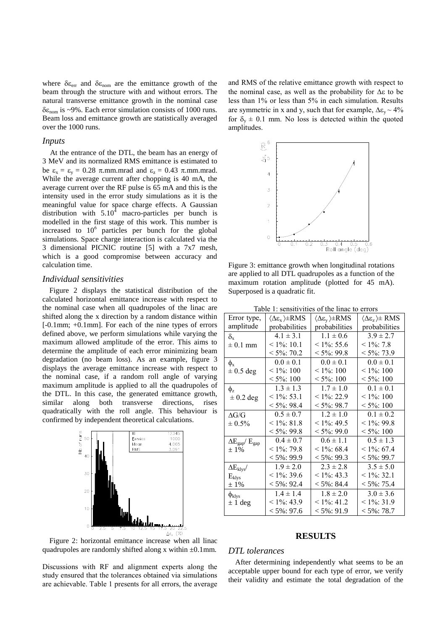where  $\delta \varepsilon_{\text{err}}$  and  $\delta \varepsilon_{\text{nom}}$  are the emittance growth of the beam through the structure with and without errors. The natural transverse emittance growth in the nominal case  $\delta \epsilon_{\text{nom}}$  is ~9%. Each error simulation consists of 1000 runs. Beam loss and emittance growth are statistically averaged over the 1000 runs.

#### *Inputs*

At the entrance of the DTL, the beam has an energy of 3 MeV and its normalized RMS emittance is estimated to be  $\epsilon_x = \epsilon_y = 0.28$   $\pi$ .mm.mrad and  $\epsilon_z = 0.43$   $\pi$ .mm.mrad. While the average current after chopping is 40 mA, the average current over the RF pulse is 65 mA and this is the intensity used in the error study simulations as it is the meaningful value for space charge effects. A Gaussian distribution with  $5.10<sup>4</sup>$  macro-particles per bunch is modelled in the first stage of this work. This number is increased to  $10^6$  particles per bunch for the global simulations. Space charge interaction is calculated via the 3 dimensional PICNIC routine [5] with a 7x7 mesh, which is a good compromise between accuracy and calculation time.

#### *Individual sensitivities*

Figure 2 displays the statistical distribution of the calculated horizontal emittance increase with respect to the nominal case when all quadrupoles of the linac are shifted along the x direction by a random distance within [-0.1mm; +0.1mm]. For each of the nine types of errors defined above, we perform simulations while varying the maximum allowed amplitude of the error. This aims to determine the amplitude of each error minimizing beam degradation (no beam loss). As an example, figure 3 displays the average emittance increase with respect to the nominal case, if a random roll angle of varying maximum amplitude is applied to all the quadrupoles of the DTL. In this case, the generated emittance growth, similar along both transverse directions, rises quadratically with the roll angle. This behaviour is confirmed by independent theoretical calculations.



and RMS of the relative emittance growth with respect to the nominal case, as well as the probability for  $\Delta \varepsilon$  to be less than 1% or less than 5% in each simulation. Results are symmetric in x and y, such that for example,  $\Delta \epsilon_y \sim 4\%$ for  $\delta_v \pm 0.1$  mm. No loss is detected within the quoted amplitudes.



 are applied to all DTL quadrupoles as a function of the Figure 3: emittance growth when longitudinal rotations maximum rotation amplitude (plotted for 45 mA). Superposed is a quadratic fit.

|                                        | 01101 til vikit v                                       |                                                  |                                                       |
|----------------------------------------|---------------------------------------------------------|--------------------------------------------------|-------------------------------------------------------|
| Error type,                            | $\langle \Delta \varepsilon_{x} \rangle \pm \text{RMS}$ | $\langle \Delta \varepsilon_{v} \rangle \pm RMS$ | $\langle \Delta \varepsilon_z \rangle \pm \text{RMS}$ |
| amplitude                              | probabilities                                           | probabilities                                    | probabilities                                         |
| $\delta_{\rm v}$                       | $4.1 \pm 3.1$                                           | $1.1 \pm 0.6$                                    | $3.9 \pm 2.7$                                         |
| $\pm$ 0.1 mm                           | $\leq 1\%$ : 10.1                                       | $< 1\%$ : 55.6                                   | $< 1\%$ : 7.8                                         |
|                                        | $< 5\%$ : 70.2                                          | $< 5\%$ : 99.8                                   | $< 5\%$ : 73.9                                        |
| $\phi_{\rm x}$                         | $0.0 \pm 0.1$                                           | $0.0 \pm 0.1$                                    | $0.0 \pm 0.1$                                         |
| $\pm$ 0.5 deg                          | $\leq 1\%$ : 100                                        | $\leq 1\%$ : 100                                 | $\leq 1\%$ : 100                                      |
|                                        | $\leq 5\%$ : 100                                        | $\leq 5\%$ : 100                                 | $\leq 5\%$ : 100                                      |
| $\phi_z$                               | $1.3 \pm 1.3$                                           | $1.7 \pm 1.0$                                    | $0.1 \pm 0.1$                                         |
| $\pm$ 0.2 deg                          | $< 1\%$ : 53.1                                          | $< 1\%$ : 22.9                                   | $\leq 1\%$ : 100                                      |
|                                        | $<$ 5%: 98.4                                            | $< 5\%$ : 98.7                                   | $\leq 5\%$ : 100                                      |
| $\Delta G/G$                           | $0.5 \pm 0.7$                                           | $1.2 \pm 1.0$                                    | $0.1 \pm 0.2$                                         |
| $\pm 0.5\%$                            | $< 1\%$ : 81.8                                          | $< 1\%$ : 49.5                                   | $< 1\%$ : 99.8                                        |
|                                        | $< 5\%$ : 99.8                                          | $< 5\%$ : 99.0                                   | $< 5\%$ : 100                                         |
| $\Delta E_{\text{gap}}/E_{\text{gap}}$ | $0.4 \pm 0.7$                                           | $0.6 \pm 1.1$                                    | $0.5 \pm 1.3$                                         |
| $±1\%$                                 | $< 1\%$ : 79.8                                          | $< 1\%$ : 68.4                                   | $< 1\%$ : 67.4                                        |
|                                        | $< 5\% : 99.9$                                          | $< 5\% : 99.3$                                   | $< 5\% : 99.7$                                        |
| $\Delta E_{\rm klys}$                  | $1.9 \pm 2.0$                                           | $2.3 \pm 2.8$                                    | $3.5 \pm 5.0$                                         |
| $E_{\text{klys}}$                      | $< 1\%$ : 39.6                                          | $< 1\%$ : 43.3                                   | $< 1\%$ : 32.1                                        |
| $±1\%$                                 | $< 5\% : 92.4$                                          | $< 5\% : 84.4$                                   | $< 5\% : 75.4$                                        |
| $\phi_{\rm klys}$                      | $1.4 \pm 1.4$                                           | $1.8 \pm 2.0$                                    | $3.0 \pm 3.6$                                         |
| $\pm$ 1 deg                            | $< 1\%$ : 43.9                                          | $< 1\%$ : 41.2                                   | $< 1\%$ : 31.9                                        |
|                                        | $< 5\% : 97.6$                                          | $< 5\% : 91.9$                                   | $< 5\% : 78.7$                                        |
|                                        |                                                         |                                                  |                                                       |

Table 1: sensitivities of the linac to errors

## **RESULTS**

#### *DTL tolerances*

Discussions with RF and alignment experts along the study ensured that the tolerances obtained via simulations are achievable. Table 1 presents for all errors, the average

quadrupoles are randomly shifted along x within  $\pm 0.1$ mm.

### After determining independently what seems to be an acceptable upper bound for each type of error, we verify their validity and estimate the total degradation of the